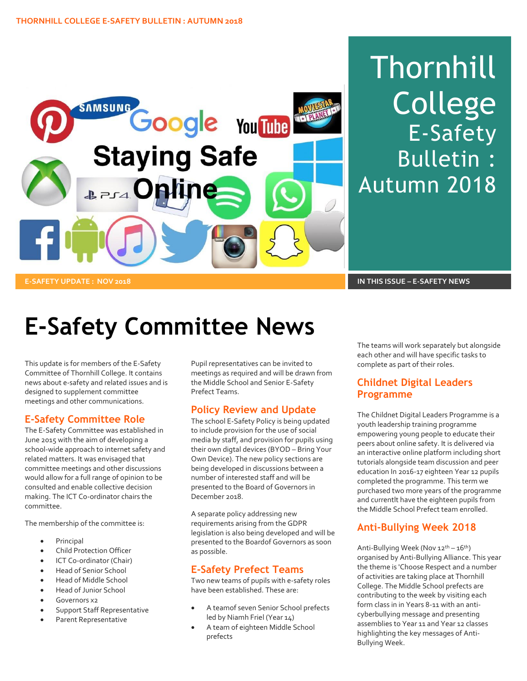

# Thornhill College E-Safety Bulletin : Autumn 2018

# **E-Safety Committee News**

This update is for members of the E-Safety Committee of Thornhill College. It contains news about e-safety and related issues and is designed to supplement committee meetings and other communications.

# **E-Safety Committee Role**

The E-Safety Committee was established in June 2015 with the aim of developing a school-wide approach to internet safety and related matters. It was envisaged that committee meetings and other discussions would allow for a full range of opinion to be consulted and enable collective decision making. The ICT Co-ordinator chairs the committee.

The membership of the committee is:

- Principal
- Child Protection Officer
- ICT Co-ordinator (Chair)
- Head of Senior School
- Head of Middle School
- Head of Junior School
- Governors x2
- Support Staff Representative
- Parent Representative

Pupil representatives can be invited to meetings as required and will be drawn from the Middle School and Senior E-Safety Prefect Teams.

# **Policy Review and Update**

The school E-Safety Policy is being updated to include provision for the use of social media by staff, and provision for pupils using their own digtal devices (BYOD – Bring Your Own Device). The new policy sections are being developed in discussions between a number of interested staff and will be presented to the Board of Governors in December 2018.

A separate policy addressing new requirements arising from the GDPR legislation is also being developed and will be presented to the Boardof Governors as soon as possible.

#### **E-Safety Prefect Teams**

Two new teams of pupils with e-safety roles have been established. These are:

- A teamof seven Senior School prefects led by Niamh Friel (Year 14)
- A team of eighteen Middle School prefects

The teams will work separately but alongside each other and will have specific tasks to complete as part of their roles.

# **Childnet Digital Leaders Programme**

The Childnet Digital Leaders Programme is a youth leadership training programme empowering young people to educate their peers about online safety. It is delivered via an interactive online platform including short tutorials alongside team discussion and peer education In 2016-17 eighteen Year 12 pupils completed the programme. This term we purchased two more years of the programme and currentlt have the eighteen pupils from the Middle School Prefect team enrolled.

# **Anti-Bullying Week 2018**

Anti-Bullying Week (Nov 12<sup>th</sup> – 16<sup>th</sup>) organised by Anti-Bullying Alliance. This year the theme is 'Choose Respect and a number of activities are taking place at Thornhill College. The Middle School prefects are contributing to the week by visiting each form class in in Years 8-11 with an anticyberbullying message and presenting assemblies to Year 11 and Year 12 classes highlighting the key messages of Anti-Bullying Week.